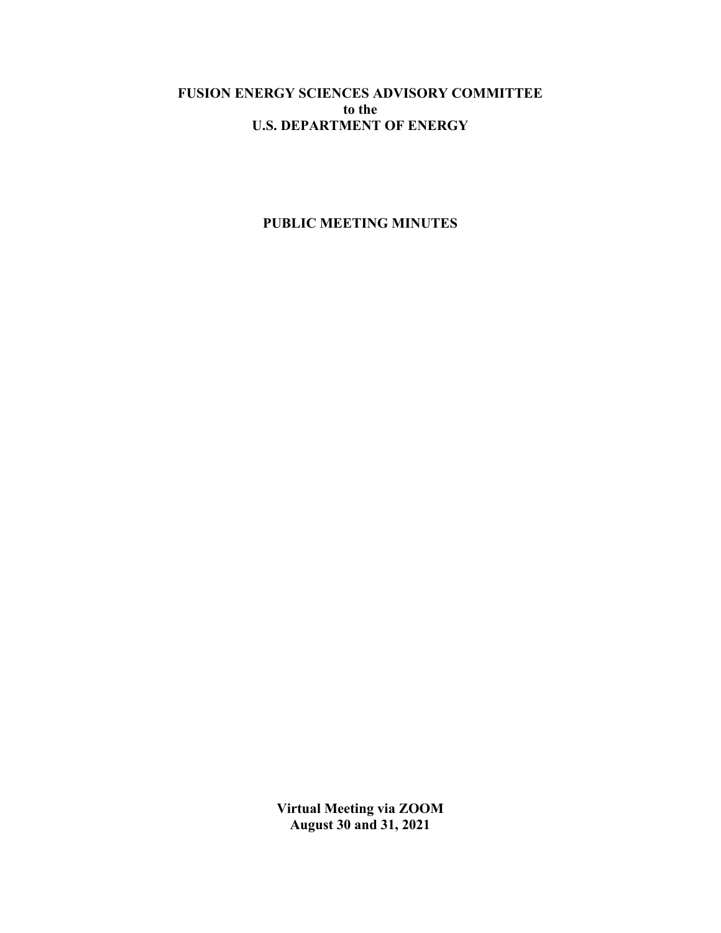# **FUSION ENERGY SCIENCES ADVISORY COMMITTEE to the U.S. DEPARTMENT OF ENERGY**

# **PUBLIC MEETING MINUTES**

**Virtual Meeting via ZOOM August 30 and 31, 2021**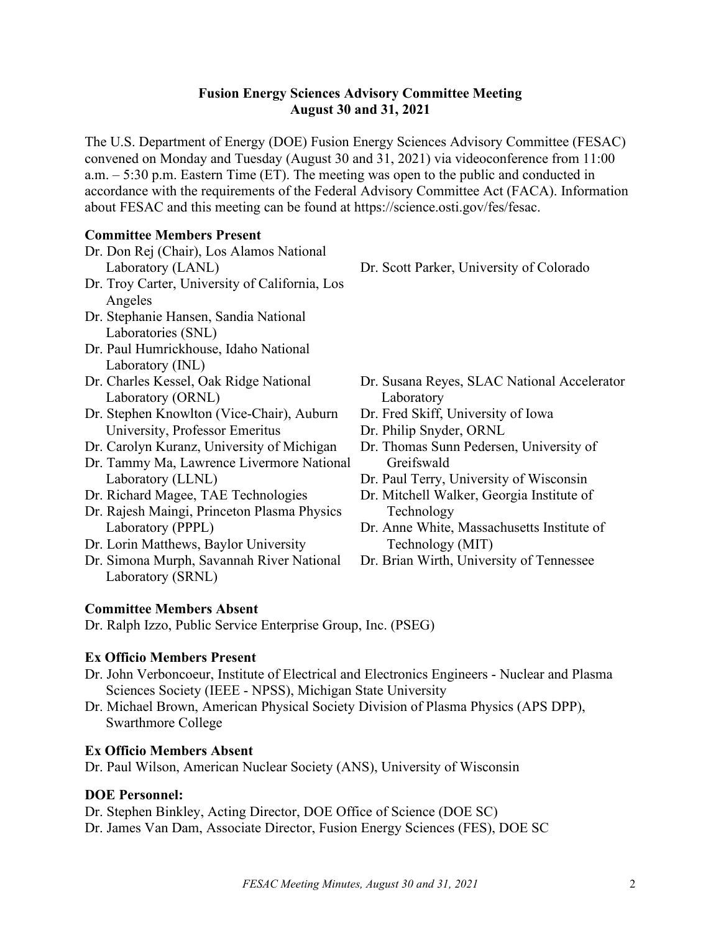## **Fusion Energy Sciences Advisory Committee Meeting August 30 and 31, 2021**

The U.S. Department of Energy (DOE) Fusion Energy Sciences Advisory Committee (FESAC) convened on Monday and Tuesday (August 30 and 31, 2021) via videoconference from 11:00 a.m. – 5:30 p.m. Eastern Time (ET). The meeting was open to the public and conducted in accordance with the requirements of the Federal Advisory Committee Act (FACA). Information about FESAC and this meeting can be found at [https://science.osti.gov/fes/fesac.](https://science.osti.gov/fes/fesac)

## **Committee Members Present**

- Dr. Don Rej (Chair), Los Alamos National Laboratory (LANL)
- Dr. Troy Carter, University of California, Los Angeles
- Dr. Stephanie Hansen, Sandia National Laboratories (SNL)
- Dr. Paul Humrickhouse, Idaho National Laboratory (INL)
- Dr. Charles Kessel, Oak Ridge National Laboratory (ORNL)
- Dr. Stephen Knowlton (Vice-Chair), Auburn University, Professor Emeritus
- Dr. Carolyn Kuranz, University of Michigan
- Dr. Tammy Ma, Lawrence Livermore National Laboratory (LLNL)
- Dr. Richard Magee, TAE Technologies
- Dr. Rajesh Maingi, Princeton Plasma Physics Laboratory (PPPL)
- Dr. Lorin Matthews, Baylor University
- Dr. Simona Murph, Savannah River National Laboratory (SRNL)

Dr. Scott Parker, University of Colorado

- Dr. Susana Reyes, SLAC National Accelerator Laboratory
- Dr. Fred Skiff, University of Iowa
- Dr. Philip Snyder, ORNL
- Dr. Thomas Sunn Pedersen, University of Greifswald
- Dr. Paul Terry, University of Wisconsin
- Dr. Mitchell Walker, Georgia Institute of Technology
- Dr. Anne White, Massachusetts Institute of Technology (MIT)
- Dr. Brian Wirth, University of Tennessee

# **Committee Members Absent**

Dr. Ralph Izzo, Public Service Enterprise Group, Inc. (PSEG)

# **Ex Officio Members Present**

- Dr. John Verboncoeur, Institute of Electrical and Electronics Engineers Nuclear and Plasma Sciences Society (IEEE - NPSS), Michigan State University
- Dr. Michael Brown, American Physical Society Division of Plasma Physics (APS DPP), Swarthmore College

# **Ex Officio Members Absent**

Dr. Paul Wilson, American Nuclear Society (ANS), University of Wisconsin

# **DOE Personnel:**

Dr. Stephen Binkley, Acting Director, DOE Office of Science (DOE SC) Dr. James Van Dam, Associate Director, Fusion Energy Sciences (FES), DOE SC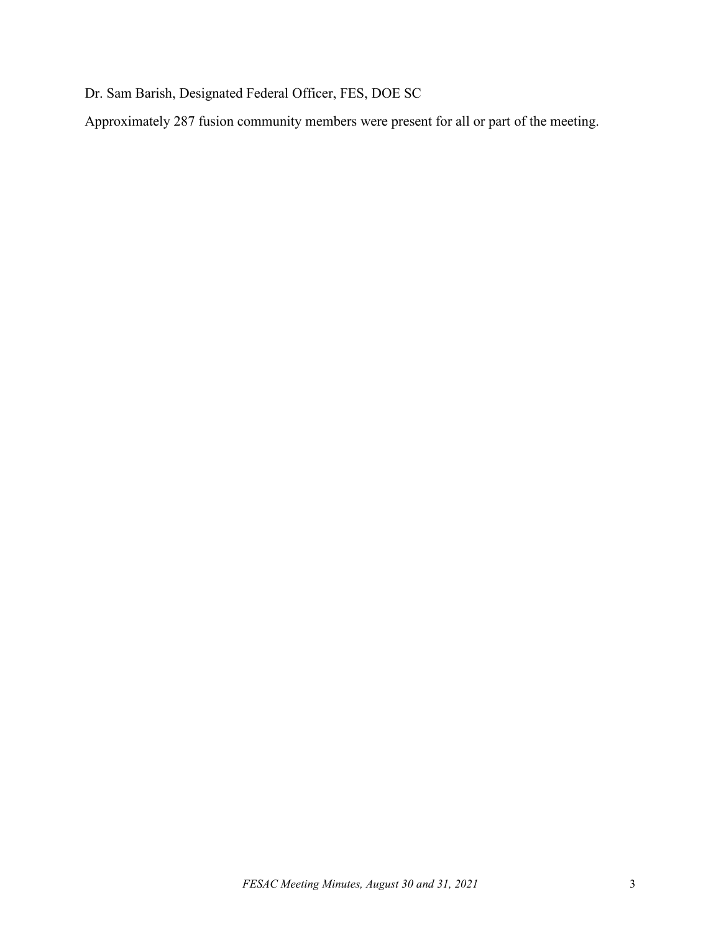Dr. Sam Barish, Designated Federal Officer, FES, DOE SC

Approximately 287 fusion community members were present for all or part of the meeting.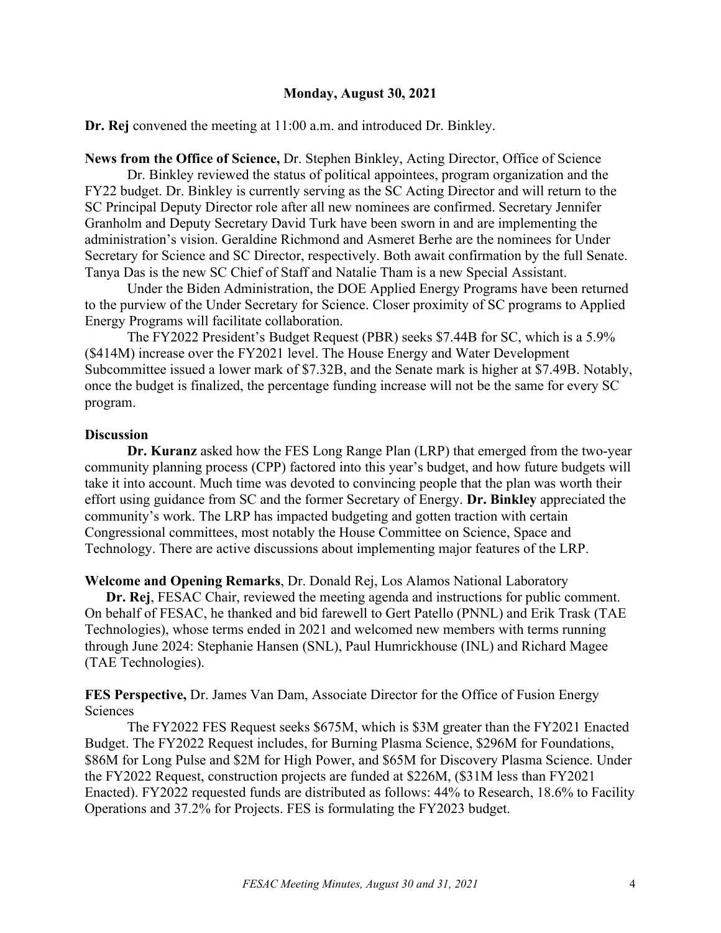### **Monday, August 30, 2021**

**Dr. Rej** convened the meeting at 11:00 a.m. and introduced Dr. Binkley.

**News from the Office of Science,** Dr. Stephen Binkley, Acting Director, Office of Science

Dr. Binkley reviewed the status of political appointees, program organization and the FY22 budget. Dr. Binkley is currently serving as the SC Acting Director and will return to the SC Principal Deputy Director role after all new nominees are confirmed. Secretary Jennifer Granholm and Deputy Secretary David Turk have been sworn in and are implementing the administration's vision. Geraldine Richmond and Asmeret Berhe are the nominees for Under Secretary for Science and SC Director, respectively. Both await confirmation by the full Senate. Tanya Das is the new SC Chief of Staff and Natalie Tham is a new Special Assistant.

Under the Biden Administration, the DOE Applied Energy Programs have been returned to the purview of the Under Secretary for Science. Closer proximity of SC programs to Applied Energy Programs will facilitate collaboration.

The FY2022 President's Budget Request (PBR) seeks \$7.44B for SC, which is a 5.9% (\$414M) increase over the FY2021 level. The House Energy and Water Development Subcommittee issued a lower mark of \$7.32B, and the Senate mark is higher at \$7.49B. Notably, once the budget is finalized, the percentage funding increase will not be the same for every SC program.

## **Discussion**

**Dr. Kuranz** asked how the FES Long Range Plan (LRP) that emerged from the two-year community planning process (CPP) factored into this year's budget, and how future budgets will take it into account. Much time was devoted to convincing people that the plan was worth their effort using guidance from SC and the former Secretary of Energy. **Dr. Binkley** appreciated the community's work. The LRP has impacted budgeting and gotten traction with certain Congressional committees, most notably the House Committee on Science, Space and Technology. There are active discussions about implementing major features of the LRP.

**Welcome and Opening Remarks**, Dr. Donald Rej, Los Alamos National Laboratory

**Dr. Rej**, FESAC Chair, reviewed the meeting agenda and instructions for public comment. On behalf of FESAC, he thanked and bid farewell to Gert Patello (PNNL) and Erik Trask (TAE Technologies), whose terms ended in 2021 and welcomed new members with terms running through June 2024: Stephanie Hansen (SNL), Paul Humrickhouse (INL) and Richard Magee (TAE Technologies).

**FES Perspective,** Dr. James Van Dam, Associate Director for the Office of Fusion Energy Sciences

The FY2022 FES Request seeks \$675M, which is \$3M greater than the FY2021 Enacted Budget. The FY2022 Request includes, for Burning Plasma Science, \$296M for Foundations, \$86M for Long Pulse and \$2M for High Power, and \$65M for Discovery Plasma Science. Under the FY2022 Request, construction projects are funded at \$226M, (\$31M less than FY2021 Enacted). FY2022 requested funds are distributed as follows: 44% to Research, 18.6% to Facility Operations and 37.2% for Projects. FES is formulating the FY2023 budget.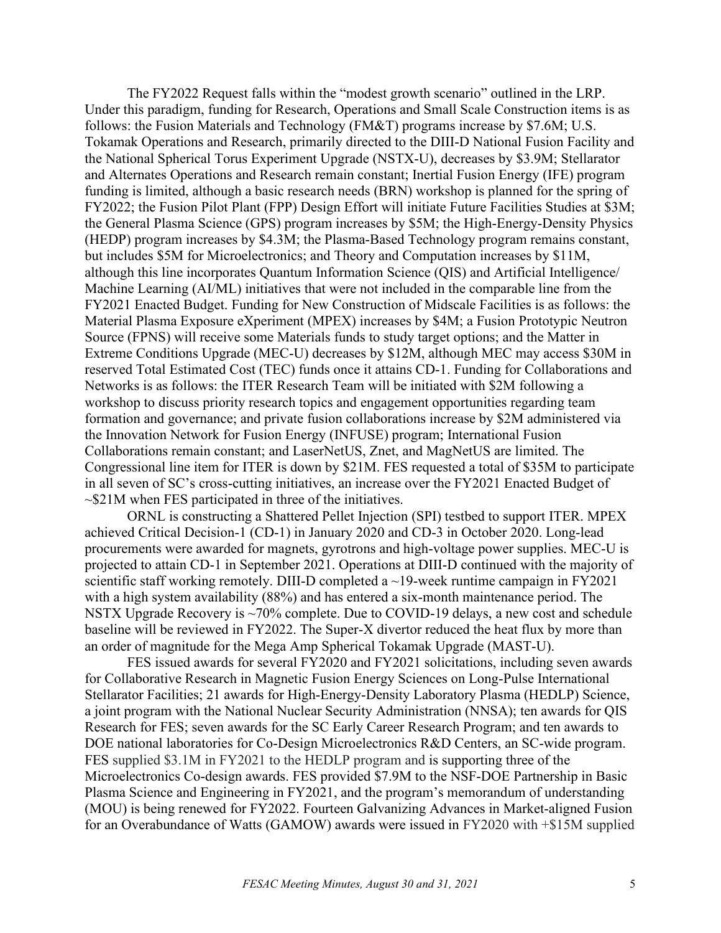The FY2022 Request falls within the "modest growth scenario" outlined in the LRP. Under this paradigm, funding for Research, Operations and Small Scale Construction items is as follows: the Fusion Materials and Technology (FM&T) programs increase by \$7.6M; U.S. Tokamak Operations and Research, primarily directed to the DIII-D National Fusion Facility and the National Spherical Torus Experiment Upgrade (NSTX-U), decreases by \$3.9M; Stellarator and Alternates Operations and Research remain constant; Inertial Fusion Energy (IFE) program funding is limited, although a basic research needs (BRN) workshop is planned for the spring of FY2022; the Fusion Pilot Plant (FPP) Design Effort will initiate Future Facilities Studies at \$3M; the General Plasma Science (GPS) program increases by \$5M; the High-Energy-Density Physics (HEDP) program increases by \$4.3M; the Plasma-Based Technology program remains constant, but includes \$5M for Microelectronics; and Theory and Computation increases by \$11M, although this line incorporates Quantum Information Science (QIS) and Artificial Intelligence/ Machine Learning (AI/ML) initiatives that were not included in the comparable line from the FY2021 Enacted Budget. Funding for New Construction of Midscale Facilities is as follows: the Material Plasma Exposure eXperiment (MPEX) increases by \$4M; a Fusion Prototypic Neutron Source (FPNS) will receive some Materials funds to study target options; and the Matter in Extreme Conditions Upgrade (MEC-U) decreases by \$12M, although MEC may access \$30M in reserved Total Estimated Cost (TEC) funds once it attains CD-1. Funding for Collaborations and Networks is as follows: the ITER Research Team will be initiated with \$2M following a workshop to discuss priority research topics and engagement opportunities regarding team formation and governance; and private fusion collaborations increase by \$2M administered via the Innovation Network for Fusion Energy (INFUSE) program; International Fusion Collaborations remain constant; and LaserNetUS, Znet, and MagNetUS are limited. The Congressional line item for ITER is down by \$21M. FES requested a total of \$35M to participate in all seven of SC's cross-cutting initiatives, an increase over the FY2021 Enacted Budget of ~\$21M when FES participated in three of the initiatives.

ORNL is constructing a Shattered Pellet Injection (SPI) testbed to support ITER. MPEX achieved Critical Decision-1 (CD-1) in January 2020 and CD-3 in October 2020. Long-lead procurements were awarded for magnets, gyrotrons and high-voltage power supplies. MEC-U is projected to attain CD-1 in September 2021. Operations at DIII-D continued with the majority of scientific staff working remotely. DIII-D completed a  $\sim$ 19-week runtime campaign in FY2021 with a high system availability (88%) and has entered a six-month maintenance period. The NSTX Upgrade Recovery is  $\sim$ 70% complete. Due to COVID-19 delays, a new cost and schedule baseline will be reviewed in FY2022. The Super-X divertor reduced the heat flux by more than an order of magnitude for the Mega Amp Spherical Tokamak Upgrade (MAST-U).

FES issued awards for several FY2020 and FY2021 solicitations, including seven awards for Collaborative Research in Magnetic Fusion Energy Sciences on Long-Pulse International Stellarator Facilities; 21 awards for High-Energy-Density Laboratory Plasma (HEDLP) Science, a joint program with the National Nuclear Security Administration (NNSA); ten awards for QIS Research for FES; seven awards for the SC Early Career Research Program; and ten awards to DOE national laboratories for Co-Design Microelectronics R&D Centers, an SC-wide program. FES supplied \$3.1M in FY2021 to the HEDLP program and is supporting three of the Microelectronics Co-design awards. FES provided \$7.9M to the NSF-DOE Partnership in Basic Plasma Science and Engineering in FY2021, and the program's memorandum of understanding (MOU) is being renewed for FY2022. Fourteen Galvanizing Advances in Market-aligned Fusion for an Overabundance of Watts (GAMOW) awards were issued in FY2020 with +\$15M supplied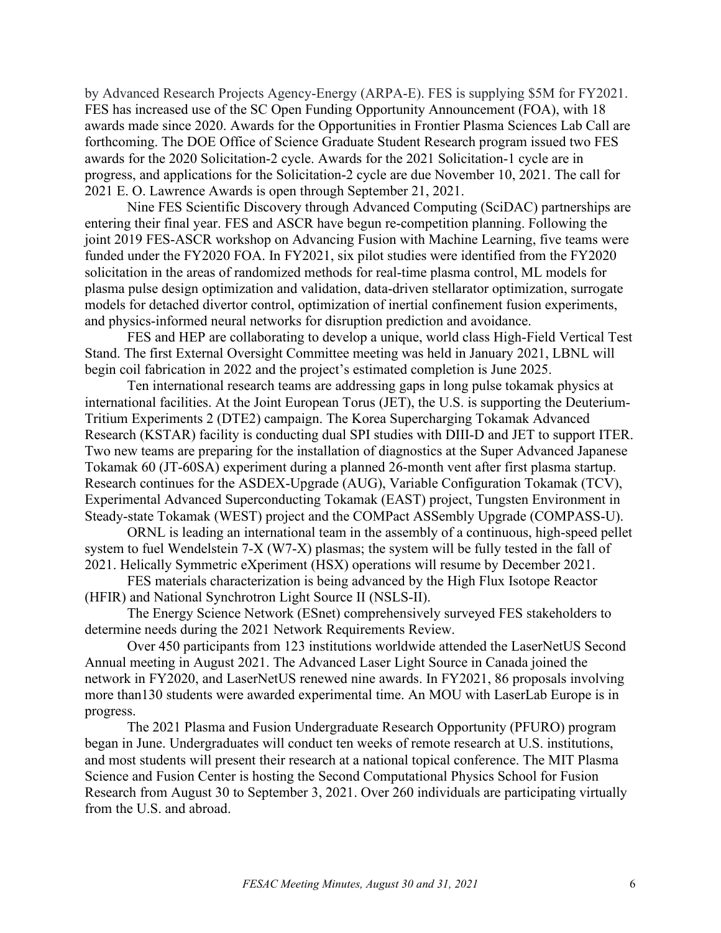by Advanced Research Projects Agency-Energy (ARPA-E). FES is supplying \$5M for FY2021. FES has increased use of the SC Open Funding Opportunity Announcement (FOA), with 18 awards made since 2020. Awards for the Opportunities in Frontier Plasma Sciences Lab Call are forthcoming. The DOE Office of Science Graduate Student Research program issued two FES awards for the 2020 Solicitation-2 cycle. Awards for the 2021 Solicitation-1 cycle are in progress, and applications for the Solicitation-2 cycle are due November 10, 2021. The call for 2021 E. O. Lawrence Awards is open through September 21, 2021.

Nine FES Scientific Discovery through Advanced Computing (SciDAC) partnerships are entering their final year. FES and ASCR have begun re-competition planning. Following the joint 2019 FES-ASCR workshop on Advancing Fusion with Machine Learning, five teams were funded under the FY2020 FOA. In FY2021, six pilot studies were identified from the FY2020 solicitation in the areas of randomized methods for real-time plasma control, ML models for plasma pulse design optimization and validation, data-driven stellarator optimization, surrogate models for detached divertor control, optimization of inertial confinement fusion experiments, and physics-informed neural networks for disruption prediction and avoidance.

FES and HEP are collaborating to develop a unique, world class High-Field Vertical Test Stand. The first External Oversight Committee meeting was held in January 2021, LBNL will begin coil fabrication in 2022 and the project's estimated completion is June 2025.

Ten international research teams are addressing gaps in long pulse tokamak physics at international facilities. At the Joint European Torus (JET), the U.S. is supporting the Deuterium-Tritium Experiments 2 (DTE2) campaign. The Korea Supercharging Tokamak Advanced Research (KSTAR) facility is conducting dual SPI studies with DIII-D and JET to support ITER. Two new teams are preparing for the installation of diagnostics at the Super Advanced Japanese Tokamak 60 (JT-60SA) experiment during a planned 26-month vent after first plasma startup. Research continues for the ASDEX-Upgrade (AUG), Variable Configuration Tokamak (TCV), Experimental Advanced Superconducting Tokamak (EAST) project, Tungsten Environment in Steady-state Tokamak (WEST) project and the COMPact ASSembly Upgrade (COMPASS-U).

ORNL is leading an international team in the assembly of a continuous, high-speed pellet system to fuel Wendelstein 7-X (W7-X) plasmas; the system will be fully tested in the fall of 2021. Helically Symmetric eXperiment (HSX) operations will resume by December 2021.

FES materials characterization is being advanced by the High Flux Isotope Reactor (HFIR) and National Synchrotron Light Source II (NSLS-II).

The Energy Science Network (ESnet) comprehensively surveyed FES stakeholders to determine needs during the 2021 Network Requirements Review.

Over 450 participants from 123 institutions worldwide attended the LaserNetUS Second Annual meeting in August 2021. The Advanced Laser Light Source in Canada joined the network in FY2020, and LaserNetUS renewed nine awards. In FY2021, 86 proposals involving more than130 students were awarded experimental time. An MOU with LaserLab Europe is in progress.

The 2021 Plasma and Fusion Undergraduate Research Opportunity (PFURO) program began in June. Undergraduates will conduct ten weeks of remote research at U.S. institutions, and most students will present their research at a national topical conference. The MIT Plasma Science and Fusion Center is hosting the Second Computational Physics School for Fusion Research from August 30 to September 3, 2021. Over 260 individuals are participating virtually from the U.S. and abroad.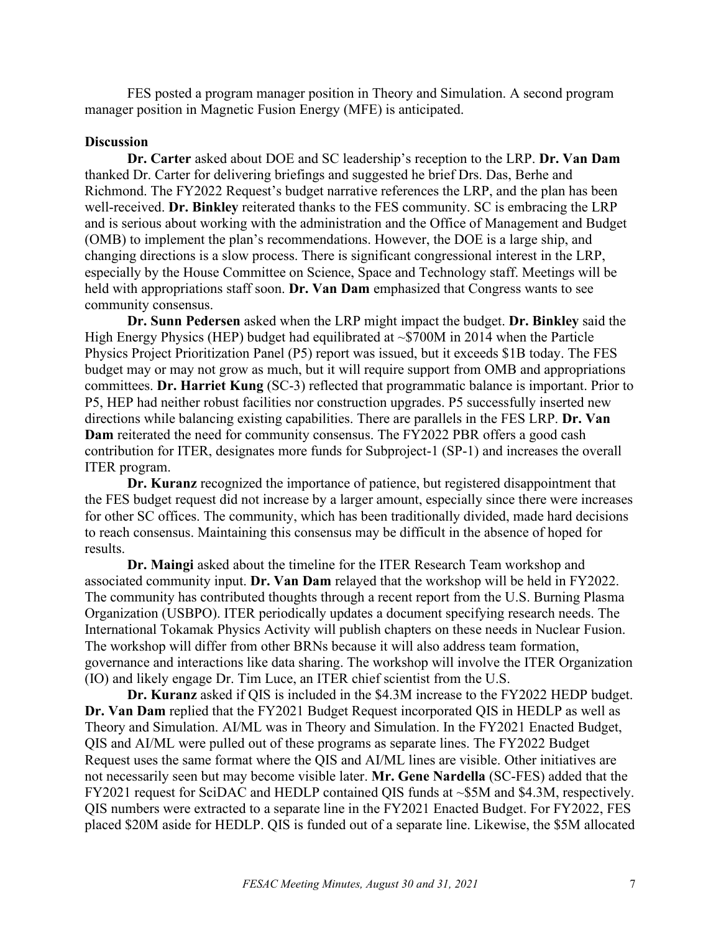FES posted a program manager position in Theory and Simulation. A second program manager position in Magnetic Fusion Energy (MFE) is anticipated.

### **Discussion**

**Dr. Carter** asked about DOE and SC leadership's reception to the LRP. **Dr. Van Dam** thanked Dr. Carter for delivering briefings and suggested he brief Drs. Das, Berhe and Richmond. The FY2022 Request's budget narrative references the LRP, and the plan has been well-received. **Dr. Binkley** reiterated thanks to the FES community. SC is embracing the LRP and is serious about working with the administration and the Office of Management and Budget (OMB) to implement the plan's recommendations. However, the DOE is a large ship, and changing directions is a slow process. There is significant congressional interest in the LRP, especially by the House Committee on Science, Space and Technology staff. Meetings will be held with appropriations staff soon. **Dr. Van Dam** emphasized that Congress wants to see community consensus.

**Dr. Sunn Pedersen** asked when the LRP might impact the budget. **Dr. Binkley** said the High Energy Physics (HEP) budget had equilibrated at  $\sim$ \$700M in 2014 when the Particle Physics Project Prioritization Panel (P5) report was issued, but it exceeds \$1B today. The FES budget may or may not grow as much, but it will require support from OMB and appropriations committees. **Dr. Harriet Kung** (SC-3) reflected that programmatic balance is important. Prior to P5, HEP had neither robust facilities nor construction upgrades. P5 successfully inserted new directions while balancing existing capabilities. There are parallels in the FES LRP. **Dr. Van Dam** reiterated the need for community consensus. The FY2022 PBR offers a good cash contribution for ITER, designates more funds for Subproject-1 (SP-1) and increases the overall ITER program.

**Dr. Kuranz** recognized the importance of patience, but registered disappointment that the FES budget request did not increase by a larger amount, especially since there were increases for other SC offices. The community, which has been traditionally divided, made hard decisions to reach consensus. Maintaining this consensus may be difficult in the absence of hoped for results.

**Dr. Maingi** asked about the timeline for the ITER Research Team workshop and associated community input. **Dr. Van Dam** relayed that the workshop will be held in FY2022. The community has contributed thoughts through a recent report from the U.S. Burning Plasma Organization (USBPO). ITER periodically updates a document specifying research needs. The International Tokamak Physics Activity will publish chapters on these needs in Nuclear Fusion. The workshop will differ from other BRNs because it will also address team formation, governance and interactions like data sharing. The workshop will involve the ITER Organization (IO) and likely engage Dr. Tim Luce, an ITER chief scientist from the U.S.

**Dr. Kuranz** asked if QIS is included in the \$4.3M increase to the FY2022 HEDP budget. **Dr. Van Dam** replied that the FY2021 Budget Request incorporated QIS in HEDLP as well as Theory and Simulation. AI/ML was in Theory and Simulation. In the FY2021 Enacted Budget, QIS and AI/ML were pulled out of these programs as separate lines. The FY2022 Budget Request uses the same format where the QIS and AI/ML lines are visible. Other initiatives are not necessarily seen but may become visible later. **Mr. Gene Nardella** (SC-FES) added that the FY2021 request for SciDAC and HEDLP contained QIS funds at ~\$5M and \$4.3M, respectively. QIS numbers were extracted to a separate line in the FY2021 Enacted Budget. For FY2022, FES placed \$20M aside for HEDLP. QIS is funded out of a separate line. Likewise, the \$5M allocated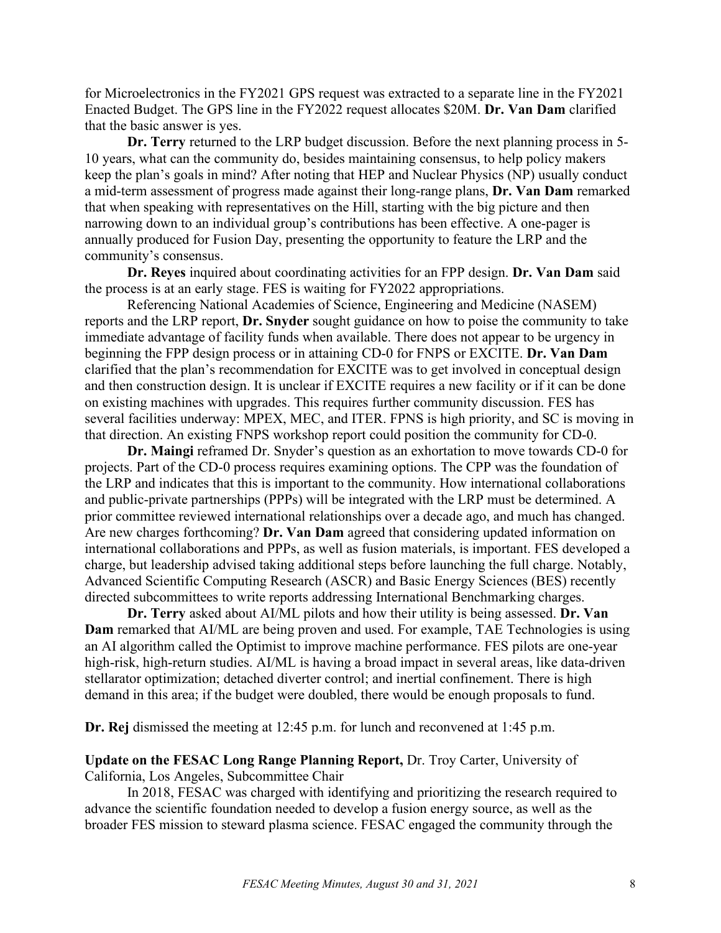for Microelectronics in the FY2021 GPS request was extracted to a separate line in the FY2021 Enacted Budget. The GPS line in the FY2022 request allocates \$20M. **Dr. Van Dam** clarified that the basic answer is yes.

**Dr. Terry** returned to the LRP budget discussion. Before the next planning process in 5- 10 years, what can the community do, besides maintaining consensus, to help policy makers keep the plan's goals in mind? After noting that HEP and Nuclear Physics (NP) usually conduct a mid-term assessment of progress made against their long-range plans, **Dr. Van Dam** remarked that when speaking with representatives on the Hill, starting with the big picture and then narrowing down to an individual group's contributions has been effective. A one-pager is annually produced for Fusion Day, presenting the opportunity to feature the LRP and the community's consensus.

**Dr. Reyes** inquired about coordinating activities for an FPP design. **Dr. Van Dam** said the process is at an early stage. FES is waiting for FY2022 appropriations.

Referencing National Academies of Science, Engineering and Medicine (NASEM) reports and the LRP report, **Dr. Snyder** sought guidance on how to poise the community to take immediate advantage of facility funds when available. There does not appear to be urgency in beginning the FPP design process or in attaining CD-0 for FNPS or EXCITE. **Dr. Van Dam** clarified that the plan's recommendation for EXCITE was to get involved in conceptual design and then construction design. It is unclear if EXCITE requires a new facility or if it can be done on existing machines with upgrades. This requires further community discussion. FES has several facilities underway: MPEX, MEC, and ITER. FPNS is high priority, and SC is moving in that direction. An existing FNPS workshop report could position the community for CD-0.

**Dr. Maingi** reframed Dr. Snyder's question as an exhortation to move towards CD-0 for projects. Part of the CD-0 process requires examining options. The CPP was the foundation of the LRP and indicates that this is important to the community. How international collaborations and public-private partnerships (PPPs) will be integrated with the LRP must be determined. A prior committee reviewed international relationships over a decade ago, and much has changed. Are new charges forthcoming? **Dr. Van Dam** agreed that considering updated information on international collaborations and PPPs, as well as fusion materials, is important. FES developed a charge, but leadership advised taking additional steps before launching the full charge. Notably, Advanced Scientific Computing Research (ASCR) and Basic Energy Sciences (BES) recently directed subcommittees to write reports addressing International Benchmarking charges.

**Dr. Terry** asked about AI/ML pilots and how their utility is being assessed. **Dr. Van Dam** remarked that AI/ML are being proven and used. For example, TAE Technologies is using an AI algorithm called the Optimist to improve machine performance. FES pilots are one-year high-risk, high-return studies. AI/ML is having a broad impact in several areas, like data-driven stellarator optimization; detached diverter control; and inertial confinement. There is high demand in this area; if the budget were doubled, there would be enough proposals to fund.

**Dr. Rej** dismissed the meeting at 12:45 p.m. for lunch and reconvened at 1:45 p.m.

## **Update on the FESAC Long Range Planning Report,** Dr. Troy Carter, University of California, Los Angeles, Subcommittee Chair

In 2018, FESAC was charged with identifying and prioritizing the research required to advance the scientific foundation needed to develop a fusion energy source, as well as the broader FES mission to steward plasma science. FESAC engaged the community through the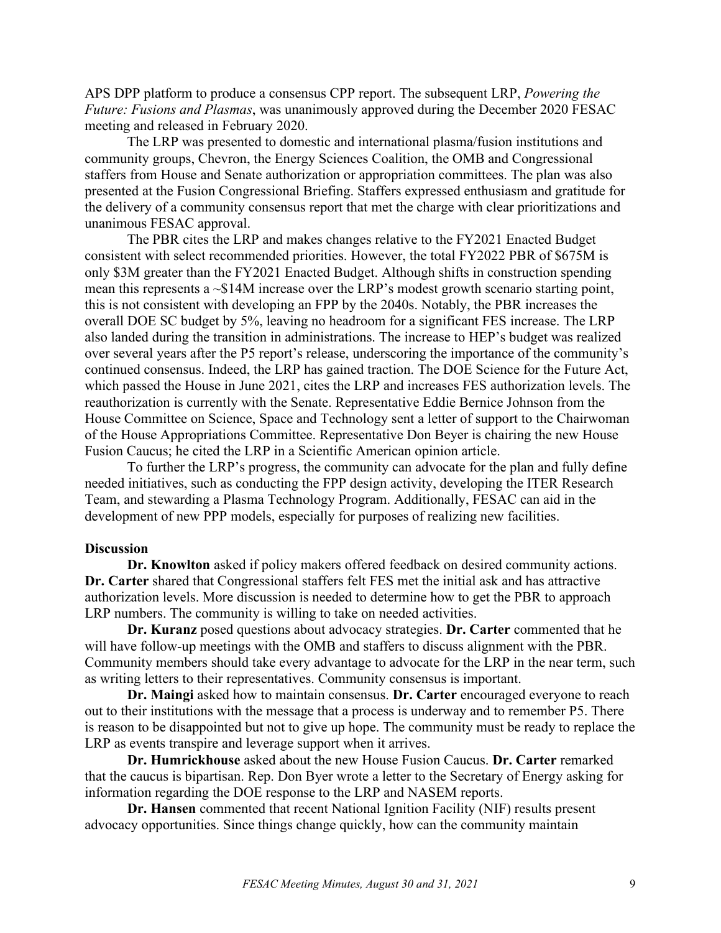APS DPP platform to produce a consensus CPP report. The subsequent LRP, *Powering the Future: Fusions and Plasmas*, was unanimously approved during the December 2020 FESAC meeting and released in February 2020.

The LRP was presented to domestic and international plasma/fusion institutions and community groups, Chevron, the Energy Sciences Coalition, the OMB and Congressional staffers from House and Senate authorization or appropriation committees. The plan was also presented at the Fusion Congressional Briefing. Staffers expressed enthusiasm and gratitude for the delivery of a community consensus report that met the charge with clear prioritizations and unanimous FESAC approval.

The PBR cites the LRP and makes changes relative to the FY2021 Enacted Budget consistent with select recommended priorities. However, the total FY2022 PBR of \$675M is only \$3M greater than the FY2021 Enacted Budget. Although shifts in construction spending mean this represents a  $\sim$ \$14M increase over the LRP's modest growth scenario starting point, this is not consistent with developing an FPP by the 2040s. Notably, the PBR increases the overall DOE SC budget by 5%, leaving no headroom for a significant FES increase. The LRP also landed during the transition in administrations. The increase to HEP's budget was realized over several years after the P5 report's release, underscoring the importance of the community's continued consensus. Indeed, the LRP has gained traction. The DOE Science for the Future Act, which passed the House in June 2021, cites the LRP and increases FES authorization levels. The reauthorization is currently with the Senate. Representative Eddie Bernice Johnson from the House Committee on Science, Space and Technology sent a letter of support to the Chairwoman of the House Appropriations Committee. Representative Don Beyer is chairing the new House Fusion Caucus; he cited the LRP in a Scientific American opinion article.

To further the LRP's progress, the community can advocate for the plan and fully define needed initiatives, such as conducting the FPP design activity, developing the ITER Research Team, and stewarding a Plasma Technology Program. Additionally, FESAC can aid in the development of new PPP models, especially for purposes of realizing new facilities.

#### **Discussion**

**Dr. Knowlton** asked if policy makers offered feedback on desired community actions. **Dr. Carter** shared that Congressional staffers felt FES met the initial ask and has attractive authorization levels. More discussion is needed to determine how to get the PBR to approach LRP numbers. The community is willing to take on needed activities.

**Dr. Kuranz** posed questions about advocacy strategies. **Dr. Carter** commented that he will have follow-up meetings with the OMB and staffers to discuss alignment with the PBR. Community members should take every advantage to advocate for the LRP in the near term, such as writing letters to their representatives. Community consensus is important.

**Dr. Maingi** asked how to maintain consensus. **Dr. Carter** encouraged everyone to reach out to their institutions with the message that a process is underway and to remember P5. There is reason to be disappointed but not to give up hope. The community must be ready to replace the LRP as events transpire and leverage support when it arrives.

**Dr. Humrickhouse** asked about the new House Fusion Caucus. **Dr. Carter** remarked that the caucus is bipartisan. Rep. Don Byer wrote a letter to the Secretary of Energy asking for information regarding the DOE response to the LRP and NASEM reports.

**Dr. Hansen** commented that recent National Ignition Facility (NIF) results present advocacy opportunities. Since things change quickly, how can the community maintain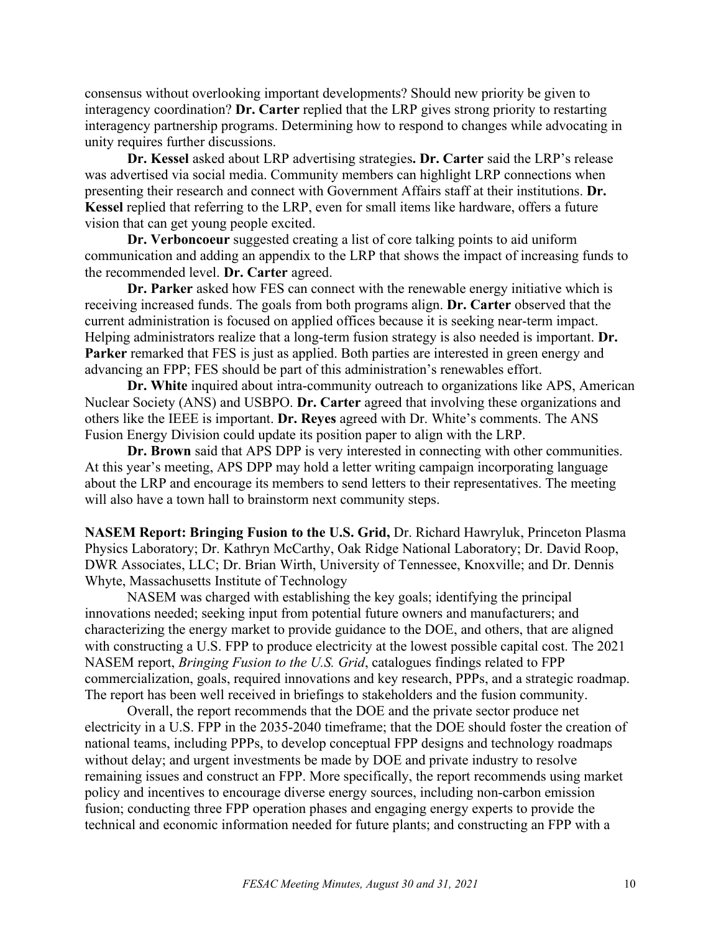consensus without overlooking important developments? Should new priority be given to interagency coordination? **Dr. Carter** replied that the LRP gives strong priority to restarting interagency partnership programs. Determining how to respond to changes while advocating in unity requires further discussions.

**Dr. Kessel** asked about LRP advertising strategies**. Dr. Carter** said the LRP's release was advertised via social media. Community members can highlight LRP connections when presenting their research and connect with Government Affairs staff at their institutions. **Dr. Kessel** replied that referring to the LRP, even for small items like hardware, offers a future vision that can get young people excited.

**Dr. Verboncoeur** suggested creating a list of core talking points to aid uniform communication and adding an appendix to the LRP that shows the impact of increasing funds to the recommended level. **Dr. Carter** agreed.

**Dr. Parker** asked how FES can connect with the renewable energy initiative which is receiving increased funds. The goals from both programs align. **Dr. Carter** observed that the current administration is focused on applied offices because it is seeking near-term impact. Helping administrators realize that a long-term fusion strategy is also needed is important. **Dr. Parker** remarked that FES is just as applied. Both parties are interested in green energy and advancing an FPP; FES should be part of this administration's renewables effort.

**Dr. White** inquired about intra-community outreach to organizations like APS, American Nuclear Society (ANS) and USBPO. **Dr. Carter** agreed that involving these organizations and others like the IEEE is important. **Dr. Reyes** agreed with Dr. White's comments. The ANS Fusion Energy Division could update its position paper to align with the LRP.

**Dr. Brown** said that APS DPP is very interested in connecting with other communities. At this year's meeting, APS DPP may hold a letter writing campaign incorporating language about the LRP and encourage its members to send letters to their representatives. The meeting will also have a town hall to brainstorm next community steps.

**NASEM Report: Bringing Fusion to the U.S. Grid,** Dr. Richard Hawryluk, Princeton Plasma Physics Laboratory; Dr. Kathryn McCarthy, Oak Ridge National Laboratory; Dr. David Roop, DWR Associates, LLC; Dr. Brian Wirth, University of Tennessee, Knoxville; and Dr. Dennis Whyte, Massachusetts Institute of Technology

NASEM was charged with establishing the key goals; identifying the principal innovations needed; seeking input from potential future owners and manufacturers; and characterizing the energy market to provide guidance to the DOE, and others, that are aligned with constructing a U.S. FPP to produce electricity at the lowest possible capital cost. The 2021 NASEM report, *Bringing Fusion to the U.S. Grid*, catalogues findings related to FPP commercialization, goals, required innovations and key research, PPPs, and a strategic roadmap. The report has been well received in briefings to stakeholders and the fusion community.

Overall, the report recommends that the DOE and the private sector produce net electricity in a U.S. FPP in the 2035-2040 timeframe; that the DOE should foster the creation of national teams, including PPPs, to develop conceptual FPP designs and technology roadmaps without delay; and urgent investments be made by DOE and private industry to resolve remaining issues and construct an FPP. More specifically, the report recommends using market policy and incentives to encourage diverse energy sources, including non-carbon emission fusion; conducting three FPP operation phases and engaging energy experts to provide the technical and economic information needed for future plants; and constructing an FPP with a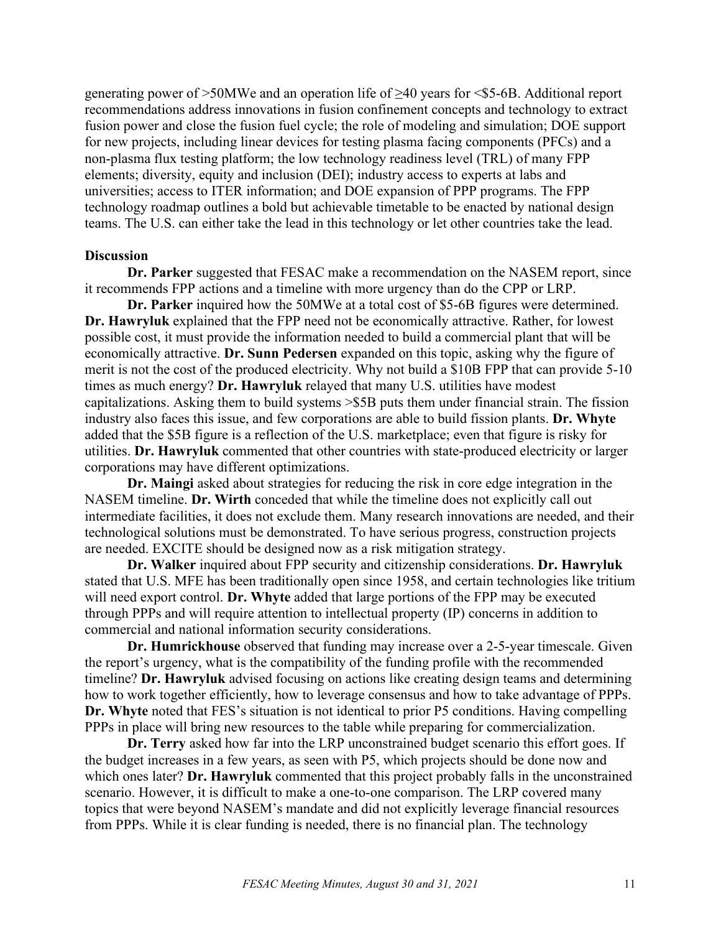generating power of  $>50$ MWe and an operation life of  $\geq 40$  years for  $\leq$  5-6B. Additional report recommendations address innovations in fusion confinement concepts and technology to extract fusion power and close the fusion fuel cycle; the role of modeling and simulation; DOE support for new projects, including linear devices for testing plasma facing components (PFCs) and a non-plasma flux testing platform; the low technology readiness level (TRL) of many FPP elements; diversity, equity and inclusion (DEI); industry access to experts at labs and universities; access to ITER information; and DOE expansion of PPP programs. The FPP technology roadmap outlines a bold but achievable timetable to be enacted by national design teams. The U.S. can either take the lead in this technology or let other countries take the lead.

#### **Discussion**

**Dr. Parker** suggested that FESAC make a recommendation on the NASEM report, since it recommends FPP actions and a timeline with more urgency than do the CPP or LRP.

**Dr. Parker** inquired how the 50MWe at a total cost of \$5-6B figures were determined. **Dr. Hawryluk** explained that the FPP need not be economically attractive. Rather, for lowest possible cost, it must provide the information needed to build a commercial plant that will be economically attractive. **Dr. Sunn Pedersen** expanded on this topic, asking why the figure of merit is not the cost of the produced electricity. Why not build a \$10B FPP that can provide 5-10 times as much energy? **Dr. Hawryluk** relayed that many U.S. utilities have modest capitalizations. Asking them to build systems >\$5B puts them under financial strain. The fission industry also faces this issue, and few corporations are able to build fission plants. **Dr. Whyte** added that the \$5B figure is a reflection of the U.S. marketplace; even that figure is risky for utilities. **Dr. Hawryluk** commented that other countries with state-produced electricity or larger corporations may have different optimizations.

**Dr. Maingi** asked about strategies for reducing the risk in core edge integration in the NASEM timeline. **Dr. Wirth** conceded that while the timeline does not explicitly call out intermediate facilities, it does not exclude them. Many research innovations are needed, and their technological solutions must be demonstrated. To have serious progress, construction projects are needed. EXCITE should be designed now as a risk mitigation strategy.

**Dr. Walker** inquired about FPP security and citizenship considerations. **Dr. Hawryluk** stated that U.S. MFE has been traditionally open since 1958, and certain technologies like tritium will need export control. **Dr. Whyte** added that large portions of the FPP may be executed through PPPs and will require attention to intellectual property (IP) concerns in addition to commercial and national information security considerations.

**Dr. Humrickhouse** observed that funding may increase over a 2-5-year timescale. Given the report's urgency, what is the compatibility of the funding profile with the recommended timeline? **Dr. Hawryluk** advised focusing on actions like creating design teams and determining how to work together efficiently, how to leverage consensus and how to take advantage of PPPs. **Dr. Whyte** noted that FES's situation is not identical to prior P5 conditions. Having compelling PPPs in place will bring new resources to the table while preparing for commercialization.

**Dr. Terry** asked how far into the LRP unconstrained budget scenario this effort goes. If the budget increases in a few years, as seen with P5, which projects should be done now and which ones later? **Dr. Hawryluk** commented that this project probably falls in the unconstrained scenario. However, it is difficult to make a one-to-one comparison. The LRP covered many topics that were beyond NASEM's mandate and did not explicitly leverage financial resources from PPPs. While it is clear funding is needed, there is no financial plan. The technology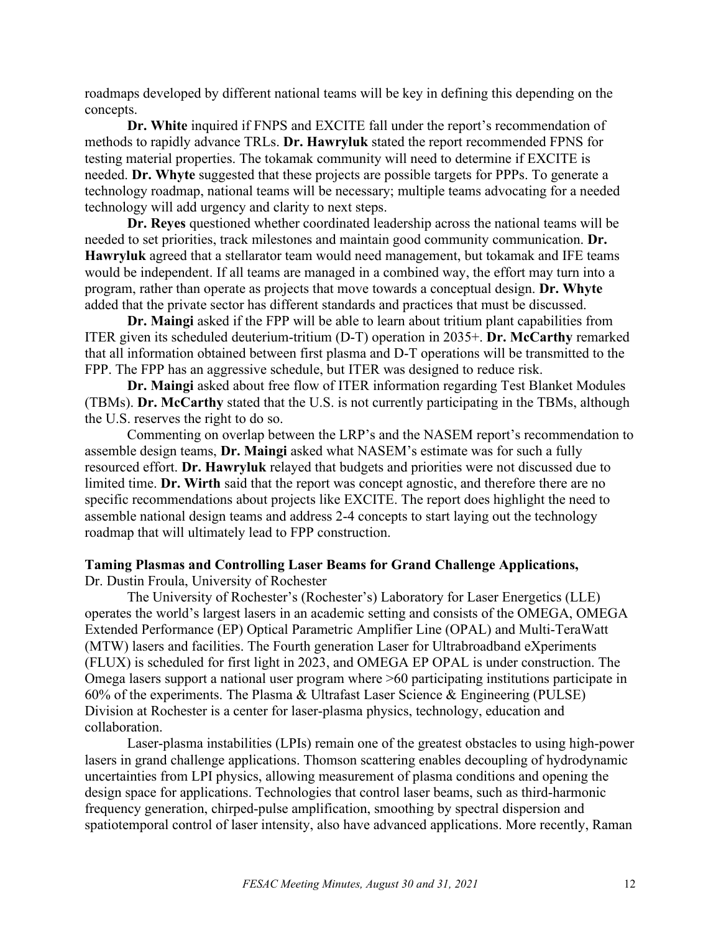roadmaps developed by different national teams will be key in defining this depending on the concepts.

**Dr. White** inquired if FNPS and EXCITE fall under the report's recommendation of methods to rapidly advance TRLs. **Dr. Hawryluk** stated the report recommended FPNS for testing material properties. The tokamak community will need to determine if EXCITE is needed. **Dr. Whyte** suggested that these projects are possible targets for PPPs. To generate a technology roadmap, national teams will be necessary; multiple teams advocating for a needed technology will add urgency and clarity to next steps.

**Dr. Reyes** questioned whether coordinated leadership across the national teams will be needed to set priorities, track milestones and maintain good community communication. **Dr. Hawryluk** agreed that a stellarator team would need management, but tokamak and IFE teams would be independent. If all teams are managed in a combined way, the effort may turn into a program, rather than operate as projects that move towards a conceptual design. **Dr. Whyte**  added that the private sector has different standards and practices that must be discussed.

**Dr. Maingi** asked if the FPP will be able to learn about tritium plant capabilities from ITER given its scheduled deuterium-tritium (D-T) operation in 2035+. **Dr. McCarthy** remarked that all information obtained between first plasma and D-T operations will be transmitted to the FPP. The FPP has an aggressive schedule, but ITER was designed to reduce risk.

**Dr. Maingi** asked about free flow of ITER information regarding Test Blanket Modules (TBMs). **Dr. McCarthy** stated that the U.S. is not currently participating in the TBMs, although the U.S. reserves the right to do so.

Commenting on overlap between the LRP's and the NASEM report's recommendation to assemble design teams, **Dr. Maingi** asked what NASEM's estimate was for such a fully resourced effort. **Dr. Hawryluk** relayed that budgets and priorities were not discussed due to limited time. **Dr. Wirth** said that the report was concept agnostic, and therefore there are no specific recommendations about projects like EXCITE. The report does highlight the need to assemble national design teams and address 2-4 concepts to start laying out the technology roadmap that will ultimately lead to FPP construction.

### **Taming Plasmas and Controlling Laser Beams for Grand Challenge Applications,**  Dr. Dustin Froula, University of Rochester

The University of Rochester's (Rochester's) Laboratory for Laser Energetics (LLE) operates the world's largest lasers in an academic setting and consists of the OMEGA, OMEGA Extended Performance (EP) Optical Parametric Amplifier Line (OPAL) and Multi-TeraWatt (MTW) lasers and facilities. The Fourth generation Laser for Ultrabroadband eXperiments (FLUX) is scheduled for first light in 2023, and OMEGA EP OPAL is under construction. The Omega lasers support a national user program where >60 participating institutions participate in 60% of the experiments. The Plasma & Ultrafast Laser Science & Engineering (PULSE) Division at Rochester is a center for laser-plasma physics, technology, education and collaboration.

Laser-plasma instabilities (LPIs) remain one of the greatest obstacles to using high-power lasers in grand challenge applications. Thomson scattering enables decoupling of hydrodynamic uncertainties from LPI physics, allowing measurement of plasma conditions and opening the design space for applications. Technologies that control laser beams, such as third-harmonic frequency generation, chirped-pulse amplification, smoothing by spectral dispersion and spatiotemporal control of laser intensity, also have advanced applications. More recently, Raman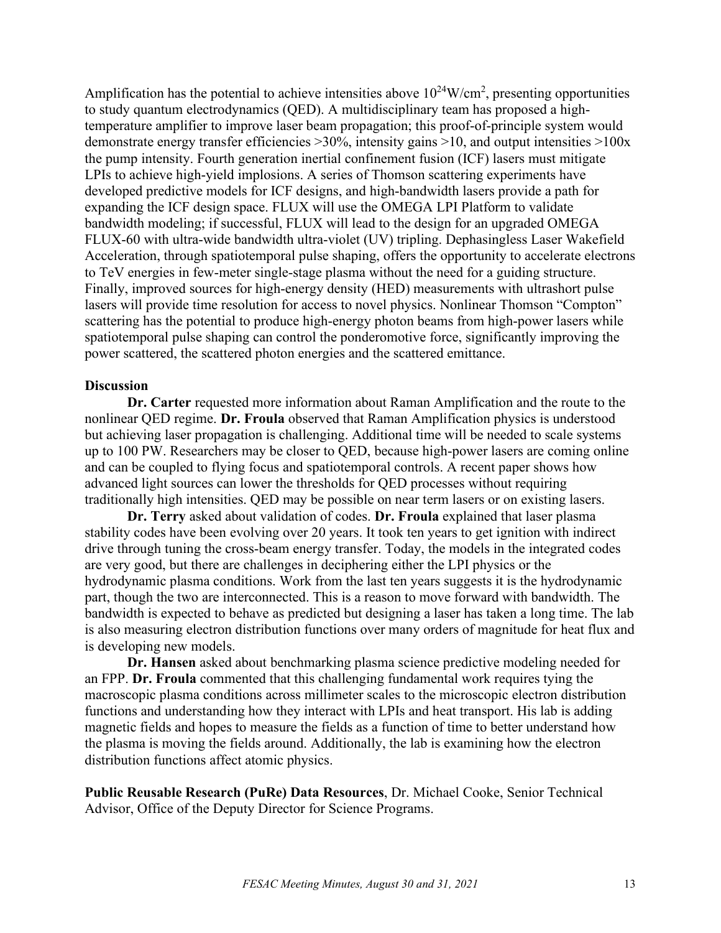Amplification has the potential to achieve intensities above  $10^{24}$ W/cm<sup>2</sup>, presenting opportunities to study quantum electrodynamics (QED). A multidisciplinary team has proposed a hightemperature amplifier to improve laser beam propagation; this proof-of-principle system would demonstrate energy transfer efficiencies  $>30\%$ , intensity gains  $>10$ , and output intensities  $>100x$ the pump intensity. Fourth generation inertial confinement fusion (ICF) lasers must mitigate LPIs to achieve high-yield implosions. A series of Thomson scattering experiments have developed predictive models for ICF designs, and high-bandwidth lasers provide a path for expanding the ICF design space. FLUX will use the OMEGA LPI Platform to validate bandwidth modeling; if successful, FLUX will lead to the design for an upgraded OMEGA FLUX-60 with ultra-wide bandwidth ultra-violet (UV) tripling. Dephasingless Laser Wakefield Acceleration, through spatiotemporal pulse shaping, offers the opportunity to accelerate electrons to TeV energies in few-meter single-stage plasma without the need for a guiding structure. Finally, improved sources for high-energy density (HED) measurements with ultrashort pulse lasers will provide time resolution for access to novel physics. Nonlinear Thomson "Compton" scattering has the potential to produce high-energy photon beams from high-power lasers while spatiotemporal pulse shaping can control the ponderomotive force, significantly improving the power scattered, the scattered photon energies and the scattered emittance.

## **Discussion**

**Dr. Carter** requested more information about Raman Amplification and the route to the nonlinear QED regime. **Dr. Froula** observed that Raman Amplification physics is understood but achieving laser propagation is challenging. Additional time will be needed to scale systems up to 100 PW. Researchers may be closer to QED, because high-power lasers are coming online and can be coupled to flying focus and spatiotemporal controls. A recent paper shows how advanced light sources can lower the thresholds for QED processes without requiring traditionally high intensities. QED may be possible on near term lasers or on existing lasers.

**Dr. Terry** asked about validation of codes. **Dr. Froula** explained that laser plasma stability codes have been evolving over 20 years. It took ten years to get ignition with indirect drive through tuning the cross-beam energy transfer. Today, the models in the integrated codes are very good, but there are challenges in deciphering either the LPI physics or the hydrodynamic plasma conditions. Work from the last ten years suggests it is the hydrodynamic part, though the two are interconnected. This is a reason to move forward with bandwidth. The bandwidth is expected to behave as predicted but designing a laser has taken a long time. The lab is also measuring electron distribution functions over many orders of magnitude for heat flux and is developing new models.

**Dr. Hansen** asked about benchmarking plasma science predictive modeling needed for an FPP. **Dr. Froula** commented that this challenging fundamental work requires tying the macroscopic plasma conditions across millimeter scales to the microscopic electron distribution functions and understanding how they interact with LPIs and heat transport. His lab is adding magnetic fields and hopes to measure the fields as a function of time to better understand how the plasma is moving the fields around. Additionally, the lab is examining how the electron distribution functions affect atomic physics.

**Public Reusable Research (PuRe) Data Resources**, Dr. Michael Cooke, Senior Technical Advisor, Office of the Deputy Director for Science Programs.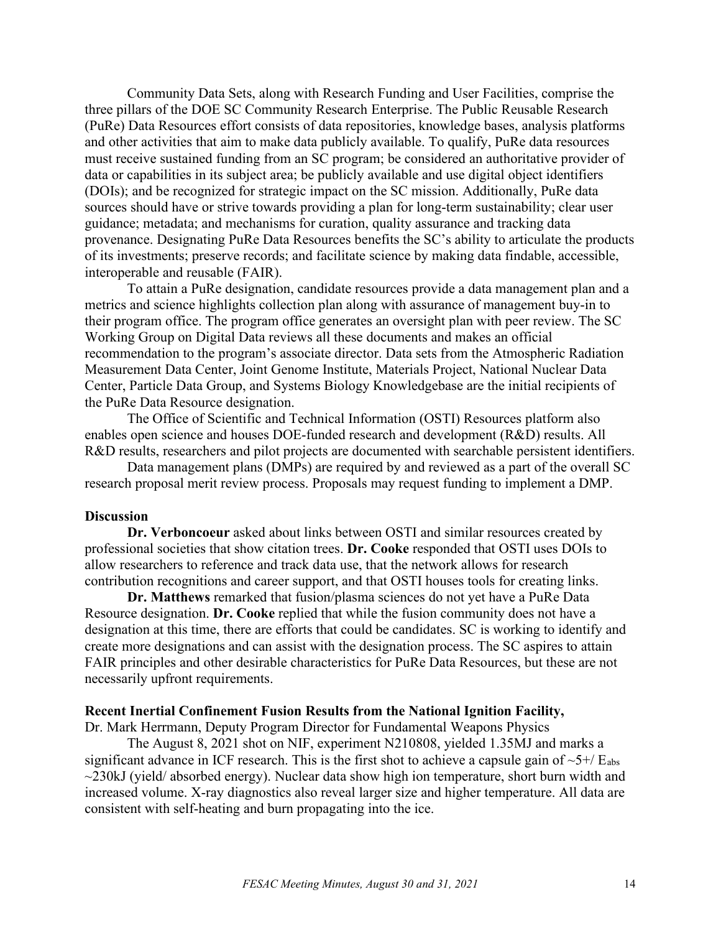Community Data Sets, along with Research Funding and User Facilities, comprise the three pillars of the DOE SC Community Research Enterprise. The Public Reusable Research (PuRe) Data Resources effort consists of data repositories, knowledge bases, analysis platforms and other activities that aim to make data publicly available. To qualify, PuRe data resources must receive sustained funding from an SC program; be considered an authoritative provider of data or capabilities in its subject area; be publicly available and use digital object identifiers (DOIs); and be recognized for strategic impact on the SC mission. Additionally, PuRe data sources should have or strive towards providing a plan for long-term sustainability; clear user guidance; metadata; and mechanisms for curation, quality assurance and tracking data provenance. Designating PuRe Data Resources benefits the SC's ability to articulate the products of its investments; preserve records; and facilitate science by making data findable, accessible, interoperable and reusable (FAIR).

To attain a PuRe designation, candidate resources provide a data management plan and a metrics and science highlights collection plan along with assurance of management buy-in to their program office. The program office generates an oversight plan with peer review. The SC Working Group on Digital Data reviews all these documents and makes an official recommendation to the program's associate director. Data sets from the Atmospheric Radiation Measurement Data Center, Joint Genome Institute, Materials Project, National Nuclear Data Center, Particle Data Group, and Systems Biology Knowledgebase are the initial recipients of the PuRe Data Resource designation.

The Office of Scientific and Technical Information (OSTI) Resources platform also enables open science and houses DOE-funded research and development (R&D) results. All R&D results, researchers and pilot projects are documented with searchable persistent identifiers.

Data management plans (DMPs) are required by and reviewed as a part of the overall SC research proposal merit review process. Proposals may request funding to implement a DMP.

#### **Discussion**

**Dr. Verboncoeur** asked about links between OSTI and similar resources created by professional societies that show citation trees. **Dr. Cooke** responded that OSTI uses DOIs to allow researchers to reference and track data use, that the network allows for research contribution recognitions and career support, and that OSTI houses tools for creating links.

**Dr. Matthews** remarked that fusion/plasma sciences do not yet have a PuRe Data Resource designation. **Dr. Cooke** replied that while the fusion community does not have a designation at this time, there are efforts that could be candidates. SC is working to identify and create more designations and can assist with the designation process. The SC aspires to attain FAIR principles and other desirable characteristics for PuRe Data Resources, but these are not necessarily upfront requirements.

### **Recent Inertial Confinement Fusion Results from the National Ignition Facility,**

Dr. Mark Herrmann, Deputy Program Director for Fundamental Weapons Physics

The August 8, 2021 shot on NIF, experiment N210808, yielded 1.35MJ and marks a significant advance in ICF research. This is the first shot to achieve a capsule gain of  $\sim 5+/E_{abs}$  $\sim$ 230kJ (yield/absorbed energy). Nuclear data show high ion temperature, short burn width and increased volume. X-ray diagnostics also reveal larger size and higher temperature. All data are consistent with self-heating and burn propagating into the ice.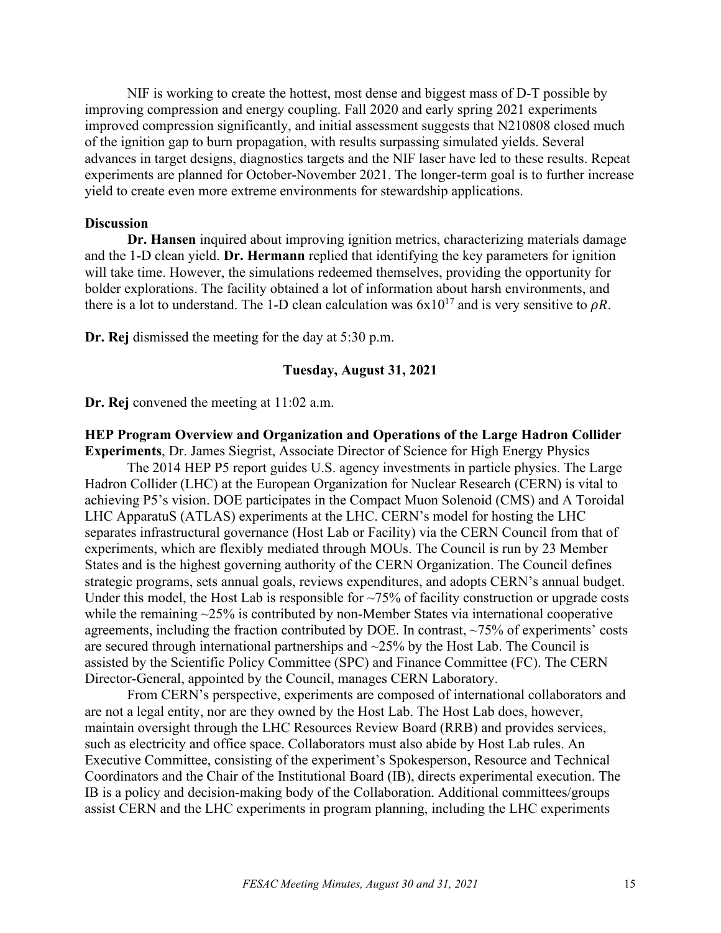NIF is working to create the hottest, most dense and biggest mass of D-T possible by improving compression and energy coupling. Fall 2020 and early spring 2021 experiments improved compression significantly, and initial assessment suggests that N210808 closed much of the ignition gap to burn propagation, with results surpassing simulated yields. Several advances in target designs, diagnostics targets and the NIF laser have led to these results. Repeat experiments are planned for October-November 2021. The longer-term goal is to further increase yield to create even more extreme environments for stewardship applications.

#### **Discussion**

**Dr. Hansen** inquired about improving ignition metrics, characterizing materials damage and the 1-D clean yield. **Dr. Hermann** replied that identifying the key parameters for ignition will take time. However, the simulations redeemed themselves, providing the opportunity for bolder explorations. The facility obtained a lot of information about harsh environments, and there is a lot to understand. The 1-D clean calculation was  $6x10^{17}$  and is very sensitive to  $\rho R$ .

**Dr. Rej** dismissed the meeting for the day at 5:30 p.m.

## **Tuesday, August 31, 2021**

**Dr. Rej** convened the meeting at 11:02 a.m.

## **HEP Program Overview and Organization and Operations of the Large Hadron Collider**

**Experiments**, Dr. James Siegrist, Associate Director of Science for High Energy Physics The 2014 HEP P5 report guides U.S. agency investments in particle physics. The Large Hadron Collider (LHC) at the European Organization for Nuclear Research (CERN) is vital to achieving P5's vision. DOE participates in the Compact Muon Solenoid (CMS) and A Toroidal LHC ApparatuS (ATLAS) experiments at the LHC. CERN's model for hosting the LHC separates infrastructural governance (Host Lab or Facility) via the CERN Council from that of experiments, which are flexibly mediated through MOUs. The Council is run by 23 Member States and is the highest governing authority of the CERN Organization. The Council defines strategic programs, sets annual goals, reviews expenditures, and adopts CERN's annual budget. Under this model, the Host Lab is responsible for  $\sim$ 75% of facility construction or upgrade costs while the remaining  $\sim$ 25% is contributed by non-Member States via international cooperative agreements, including the fraction contributed by DOE. In contrast,  $\sim$ 75% of experiments' costs are secured through international partnerships and  $\sim$ 25% by the Host Lab. The Council is assisted by the Scientific Policy Committee (SPC) and Finance Committee (FC). The CERN Director-General, appointed by the Council, manages CERN Laboratory.

From CERN's perspective, experiments are composed of international collaborators and are not a legal entity, nor are they owned by the Host Lab. The Host Lab does, however, maintain oversight through the LHC Resources Review Board (RRB) and provides services, such as electricity and office space. Collaborators must also abide by Host Lab rules. An Executive Committee, consisting of the experiment's Spokesperson, Resource and Technical Coordinators and the Chair of the Institutional Board (IB), directs experimental execution. The IB is a policy and decision-making body of the Collaboration. Additional committees/groups assist CERN and the LHC experiments in program planning, including the LHC experiments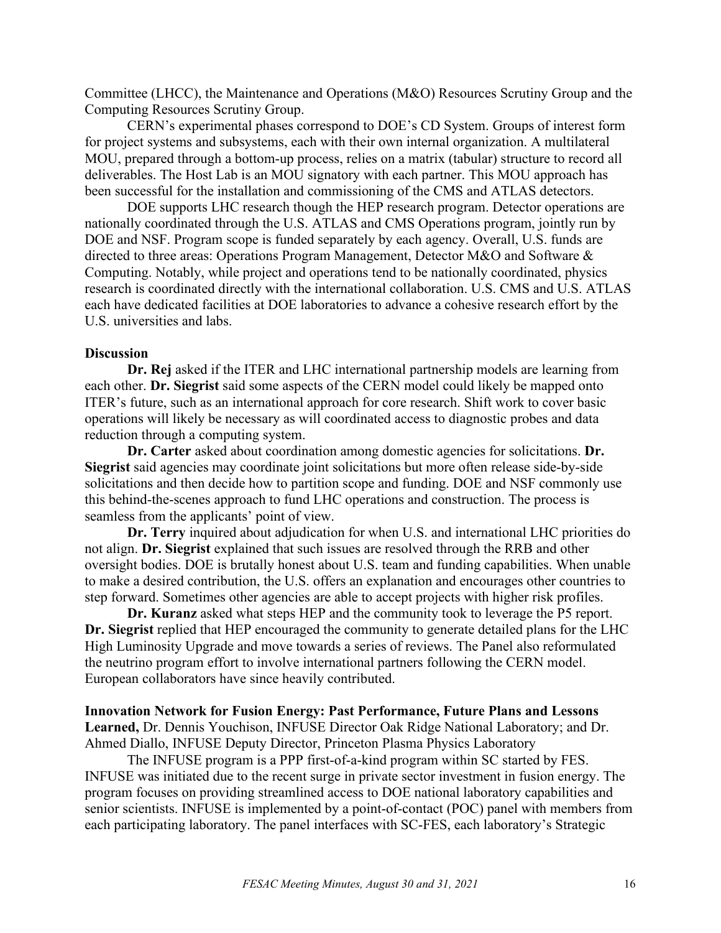Committee (LHCC), the Maintenance and Operations (M&O) Resources Scrutiny Group and the Computing Resources Scrutiny Group.

CERN's experimental phases correspond to DOE's CD System. Groups of interest form for project systems and subsystems, each with their own internal organization. A multilateral MOU, prepared through a bottom-up process, relies on a matrix (tabular) structure to record all deliverables. The Host Lab is an MOU signatory with each partner. This MOU approach has been successful for the installation and commissioning of the CMS and ATLAS detectors.

DOE supports LHC research though the HEP research program. Detector operations are nationally coordinated through the U.S. ATLAS and CMS Operations program, jointly run by DOE and NSF. Program scope is funded separately by each agency. Overall, U.S. funds are directed to three areas: Operations Program Management, Detector M&O and Software & Computing. Notably, while project and operations tend to be nationally coordinated, physics research is coordinated directly with the international collaboration. U.S. CMS and U.S. ATLAS each have dedicated facilities at DOE laboratories to advance a cohesive research effort by the U.S. universities and labs.

### **Discussion**

**Dr. Rej** asked if the ITER and LHC international partnership models are learning from each other. **Dr. Siegrist** said some aspects of the CERN model could likely be mapped onto ITER's future, such as an international approach for core research. Shift work to cover basic operations will likely be necessary as will coordinated access to diagnostic probes and data reduction through a computing system.

**Dr. Carter** asked about coordination among domestic agencies for solicitations. **Dr. Siegrist** said agencies may coordinate joint solicitations but more often release side-by-side solicitations and then decide how to partition scope and funding. DOE and NSF commonly use this behind-the-scenes approach to fund LHC operations and construction. The process is seamless from the applicants' point of view.

**Dr. Terry** inquired about adjudication for when U.S. and international LHC priorities do not align. **Dr. Siegrist** explained that such issues are resolved through the RRB and other oversight bodies. DOE is brutally honest about U.S. team and funding capabilities. When unable to make a desired contribution, the U.S. offers an explanation and encourages other countries to step forward. Sometimes other agencies are able to accept projects with higher risk profiles.

**Dr. Kuranz** asked what steps HEP and the community took to leverage the P5 report. **Dr. Siegrist** replied that HEP encouraged the community to generate detailed plans for the LHC High Luminosity Upgrade and move towards a series of reviews. The Panel also reformulated the neutrino program effort to involve international partners following the CERN model. European collaborators have since heavily contributed.

## **Innovation Network for Fusion Energy: Past Performance, Future Plans and Lessons Learned,** Dr. Dennis Youchison, INFUSE Director Oak Ridge National Laboratory; and Dr. Ahmed Diallo, INFUSE Deputy Director, Princeton Plasma Physics Laboratory

The INFUSE program is a PPP first-of-a-kind program within SC started by FES. INFUSE was initiated due to the recent surge in private sector investment in fusion energy. The program focuses on providing streamlined access to DOE national laboratory capabilities and senior scientists. INFUSE is implemented by a point-of-contact (POC) panel with members from each participating laboratory. The panel interfaces with SC-FES, each laboratory's Strategic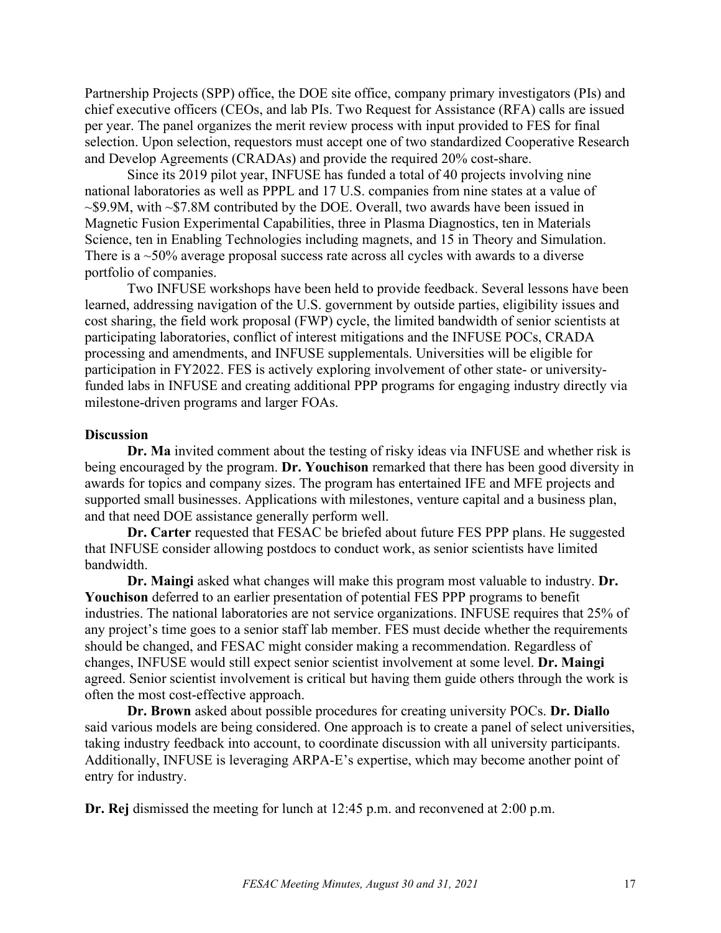Partnership Projects (SPP) office, the DOE site office, company primary investigators (PIs) and chief executive officers (CEOs, and lab PIs. Two Request for Assistance (RFA) calls are issued per year. The panel organizes the merit review process with input provided to FES for final selection. Upon selection, requestors must accept one of two standardized Cooperative Research and Develop Agreements (CRADAs) and provide the required 20% cost-share.

Since its 2019 pilot year, INFUSE has funded a total of 40 projects involving nine national laboratories as well as PPPL and 17 U.S. companies from nine states at a value of  $\sim$ \$9.9M, with  $\sim$ \$7.8M contributed by the DOE. Overall, two awards have been issued in Magnetic Fusion Experimental Capabilities, three in Plasma Diagnostics, ten in Materials Science, ten in Enabling Technologies including magnets, and 15 in Theory and Simulation. There is a  $\sim$ 50% average proposal success rate across all cycles with awards to a diverse portfolio of companies.

Two INFUSE workshops have been held to provide feedback. Several lessons have been learned, addressing navigation of the U.S. government by outside parties, eligibility issues and cost sharing, the field work proposal (FWP) cycle, the limited bandwidth of senior scientists at participating laboratories, conflict of interest mitigations and the INFUSE POCs, CRADA processing and amendments, and INFUSE supplementals. Universities will be eligible for participation in FY2022. FES is actively exploring involvement of other state- or universityfunded labs in INFUSE and creating additional PPP programs for engaging industry directly via milestone-driven programs and larger FOAs.

## **Discussion**

**Dr. Ma** invited comment about the testing of risky ideas via INFUSE and whether risk is being encouraged by the program. **Dr. Youchison** remarked that there has been good diversity in awards for topics and company sizes. The program has entertained IFE and MFE projects and supported small businesses. Applications with milestones, venture capital and a business plan, and that need DOE assistance generally perform well.

**Dr. Carter** requested that FESAC be briefed about future FES PPP plans. He suggested that INFUSE consider allowing postdocs to conduct work, as senior scientists have limited bandwidth.

**Dr. Maingi** asked what changes will make this program most valuable to industry. **Dr. Youchison** deferred to an earlier presentation of potential FES PPP programs to benefit industries. The national laboratories are not service organizations. INFUSE requires that 25% of any project's time goes to a senior staff lab member. FES must decide whether the requirements should be changed, and FESAC might consider making a recommendation. Regardless of changes, INFUSE would still expect senior scientist involvement at some level. **Dr. Maingi** agreed. Senior scientist involvement is critical but having them guide others through the work is often the most cost-effective approach.

**Dr. Brown** asked about possible procedures for creating university POCs. **Dr. Diallo** said various models are being considered. One approach is to create a panel of select universities, taking industry feedback into account, to coordinate discussion with all university participants. Additionally, INFUSE is leveraging ARPA-E's expertise, which may become another point of entry for industry.

**Dr. Rej** dismissed the meeting for lunch at 12:45 p.m. and reconvened at 2:00 p.m.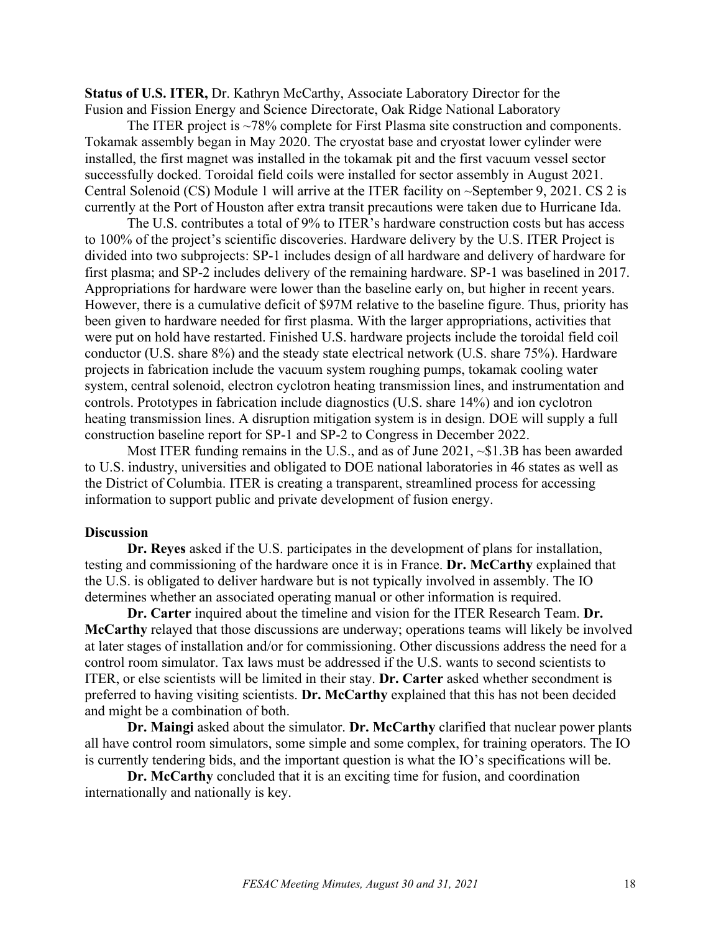**Status of U.S. ITER,** Dr. Kathryn McCarthy, Associate Laboratory Director for the Fusion and Fission Energy and Science Directorate, Oak Ridge National Laboratory

The ITER project is ~78% complete for First Plasma site construction and components. Tokamak assembly began in May 2020. The cryostat base and cryostat lower cylinder were installed, the first magnet was installed in the tokamak pit and the first vacuum vessel sector successfully docked. Toroidal field coils were installed for sector assembly in August 2021. Central Solenoid (CS) Module 1 will arrive at the ITER facility on ~September 9, 2021. CS 2 is currently at the Port of Houston after extra transit precautions were taken due to Hurricane Ida.

The U.S. contributes a total of 9% to ITER's hardware construction costs but has access to 100% of the project's scientific discoveries. Hardware delivery by the U.S. ITER Project is divided into two subprojects: SP-1 includes design of all hardware and delivery of hardware for first plasma; and SP-2 includes delivery of the remaining hardware. SP-1 was baselined in 2017. Appropriations for hardware were lower than the baseline early on, but higher in recent years. However, there is a cumulative deficit of \$97M relative to the baseline figure. Thus, priority has been given to hardware needed for first plasma. With the larger appropriations, activities that were put on hold have restarted. Finished U.S. hardware projects include the toroidal field coil conductor (U.S. share 8%) and the steady state electrical network (U.S. share 75%). Hardware projects in fabrication include the vacuum system roughing pumps, tokamak cooling water system, central solenoid, electron cyclotron heating transmission lines, and instrumentation and controls. Prototypes in fabrication include diagnostics (U.S. share 14%) and ion cyclotron heating transmission lines. A disruption mitigation system is in design. DOE will supply a full construction baseline report for SP-1 and SP-2 to Congress in December 2022.

Most ITER funding remains in the U.S., and as of June 2021, ~\$1.3B has been awarded to U.S. industry, universities and obligated to DOE national laboratories in 46 states as well as the District of Columbia. ITER is creating a transparent, streamlined process for accessing information to support public and private development of fusion energy.

#### **Discussion**

**Dr. Reyes** asked if the U.S. participates in the development of plans for installation, testing and commissioning of the hardware once it is in France. **Dr. McCarthy** explained that the U.S. is obligated to deliver hardware but is not typically involved in assembly. The IO determines whether an associated operating manual or other information is required.

**Dr. Carter** inquired about the timeline and vision for the ITER Research Team. **Dr. McCarthy** relayed that those discussions are underway; operations teams will likely be involved at later stages of installation and/or for commissioning. Other discussions address the need for a control room simulator. Tax laws must be addressed if the U.S. wants to second scientists to ITER, or else scientists will be limited in their stay. **Dr. Carter** asked whether secondment is preferred to having visiting scientists. **Dr. McCarthy** explained that this has not been decided and might be a combination of both.

**Dr. Maingi** asked about the simulator. **Dr. McCarthy** clarified that nuclear power plants all have control room simulators, some simple and some complex, for training operators. The IO is currently tendering bids, and the important question is what the IO's specifications will be.

**Dr. McCarthy** concluded that it is an exciting time for fusion, and coordination internationally and nationally is key.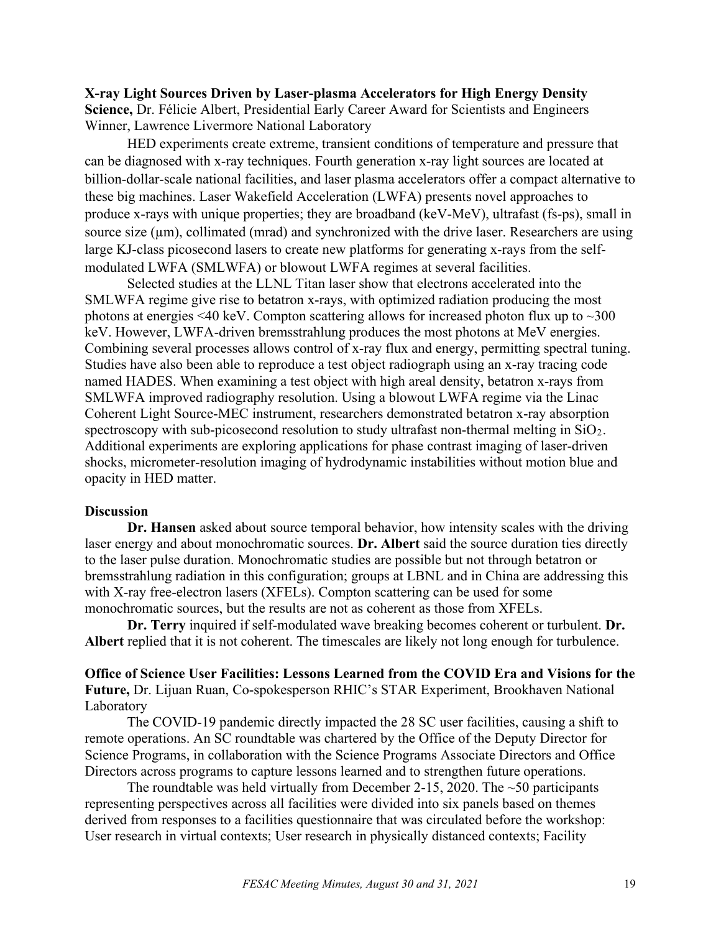**X-ray Light Sources Driven by Laser-plasma Accelerators for High Energy Density Science,** Dr. Félicie Albert, Presidential Early Career Award for Scientists and Engineers Winner, Lawrence Livermore National Laboratory

HED experiments create extreme, transient conditions of temperature and pressure that can be diagnosed with x-ray techniques. Fourth generation x-ray light sources are located at billion-dollar-scale national facilities, and laser plasma accelerators offer a compact alternative to these big machines. Laser Wakefield Acceleration (LWFA) presents novel approaches to produce x-rays with unique properties; they are broadband (keV-MeV), ultrafast (fs-ps), small in source size  $(\mu m)$ , collimated (mrad) and synchronized with the drive laser. Researchers are using large KJ-class picosecond lasers to create new platforms for generating x-rays from the selfmodulated LWFA (SMLWFA) or blowout LWFA regimes at several facilities.

Selected studies at the LLNL Titan laser show that electrons accelerated into the SMLWFA regime give rise to betatron x-rays, with optimized radiation producing the most photons at energies  $\leq 40$  keV. Compton scattering allows for increased photon flux up to  $\sim 300$ keV. However, LWFA-driven bremsstrahlung produces the most photons at MeV energies. Combining several processes allows control of x-ray flux and energy, permitting spectral tuning. Studies have also been able to reproduce a test object radiograph using an x-ray tracing code named HADES. When examining a test object with high areal density, betatron x-rays from SMLWFA improved radiography resolution. Using a blowout LWFA regime via the Linac Coherent Light Source-MEC instrument, researchers demonstrated betatron x-ray absorption spectroscopy with sub-picosecond resolution to study ultrafast non-thermal melting in  $SiO<sub>2</sub>$ . Additional experiments are exploring applications for phase contrast imaging of laser-driven shocks, micrometer-resolution imaging of hydrodynamic instabilities without motion blue and opacity in HED matter.

### **Discussion**

**Dr. Hansen** asked about source temporal behavior, how intensity scales with the driving laser energy and about monochromatic sources. **Dr. Albert** said the source duration ties directly to the laser pulse duration. Monochromatic studies are possible but not through betatron or bremsstrahlung radiation in this configuration; groups at LBNL and in China are addressing this with X-ray free-electron lasers (XFELs). Compton scattering can be used for some monochromatic sources, but the results are not as coherent as those from XFELs.

**Dr. Terry** inquired if self-modulated wave breaking becomes coherent or turbulent. **Dr. Albert** replied that it is not coherent. The timescales are likely not long enough for turbulence.

**Office of Science User Facilities: Lessons Learned from the COVID Era and Visions for the Future,** Dr. Lijuan Ruan, Co-spokesperson RHIC's STAR Experiment, Brookhaven National Laboratory

The COVID-19 pandemic directly impacted the 28 SC user facilities, causing a shift to remote operations. An SC roundtable was chartered by the Office of the Deputy Director for Science Programs, in collaboration with the Science Programs Associate Directors and Office Directors across programs to capture lessons learned and to strengthen future operations.

The roundtable was held virtually from December 2-15, 2020. The  $\sim$ 50 participants representing perspectives across all facilities were divided into six panels based on themes derived from responses to a facilities questionnaire that was circulated before the workshop: User research in virtual contexts; User research in physically distanced contexts; Facility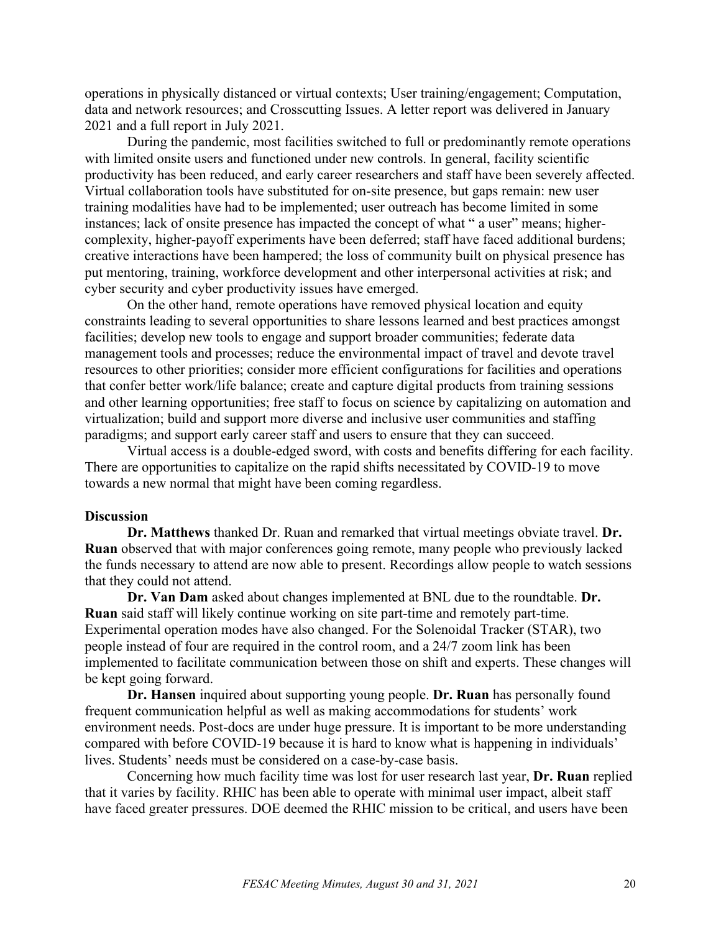operations in physically distanced or virtual contexts; User training/engagement; Computation, data and network resources; and Crosscutting Issues. A letter report was delivered in January 2021 and a full report in July 2021.

During the pandemic, most facilities switched to full or predominantly remote operations with limited onsite users and functioned under new controls. In general, facility scientific productivity has been reduced, and early career researchers and staff have been severely affected. Virtual collaboration tools have substituted for on-site presence, but gaps remain: new user training modalities have had to be implemented; user outreach has become limited in some instances; lack of onsite presence has impacted the concept of what " a user" means; highercomplexity, higher-payoff experiments have been deferred; staff have faced additional burdens; creative interactions have been hampered; the loss of community built on physical presence has put mentoring, training, workforce development and other interpersonal activities at risk; and cyber security and cyber productivity issues have emerged.

On the other hand, remote operations have removed physical location and equity constraints leading to several opportunities to share lessons learned and best practices amongst facilities; develop new tools to engage and support broader communities; federate data management tools and processes; reduce the environmental impact of travel and devote travel resources to other priorities; consider more efficient configurations for facilities and operations that confer better work/life balance; create and capture digital products from training sessions and other learning opportunities; free staff to focus on science by capitalizing on automation and virtualization; build and support more diverse and inclusive user communities and staffing paradigms; and support early career staff and users to ensure that they can succeed.

Virtual access is a double-edged sword, with costs and benefits differing for each facility. There are opportunities to capitalize on the rapid shifts necessitated by COVID-19 to move towards a new normal that might have been coming regardless.

#### **Discussion**

**Dr. Matthews** thanked Dr. Ruan and remarked that virtual meetings obviate travel. **Dr. Ruan** observed that with major conferences going remote, many people who previously lacked the funds necessary to attend are now able to present. Recordings allow people to watch sessions that they could not attend.

**Dr. Van Dam** asked about changes implemented at BNL due to the roundtable. **Dr. Ruan** said staff will likely continue working on site part-time and remotely part-time. Experimental operation modes have also changed. For the Solenoidal Tracker (STAR), two people instead of four are required in the control room, and a 24/7 zoom link has been implemented to facilitate communication between those on shift and experts. These changes will be kept going forward.

**Dr. Hansen** inquired about supporting young people. **Dr. Ruan** has personally found frequent communication helpful as well as making accommodations for students' work environment needs. Post-docs are under huge pressure. It is important to be more understanding compared with before COVID-19 because it is hard to know what is happening in individuals' lives. Students' needs must be considered on a case-by-case basis.

Concerning how much facility time was lost for user research last year, **Dr. Ruan** replied that it varies by facility. RHIC has been able to operate with minimal user impact, albeit staff have faced greater pressures. DOE deemed the RHIC mission to be critical, and users have been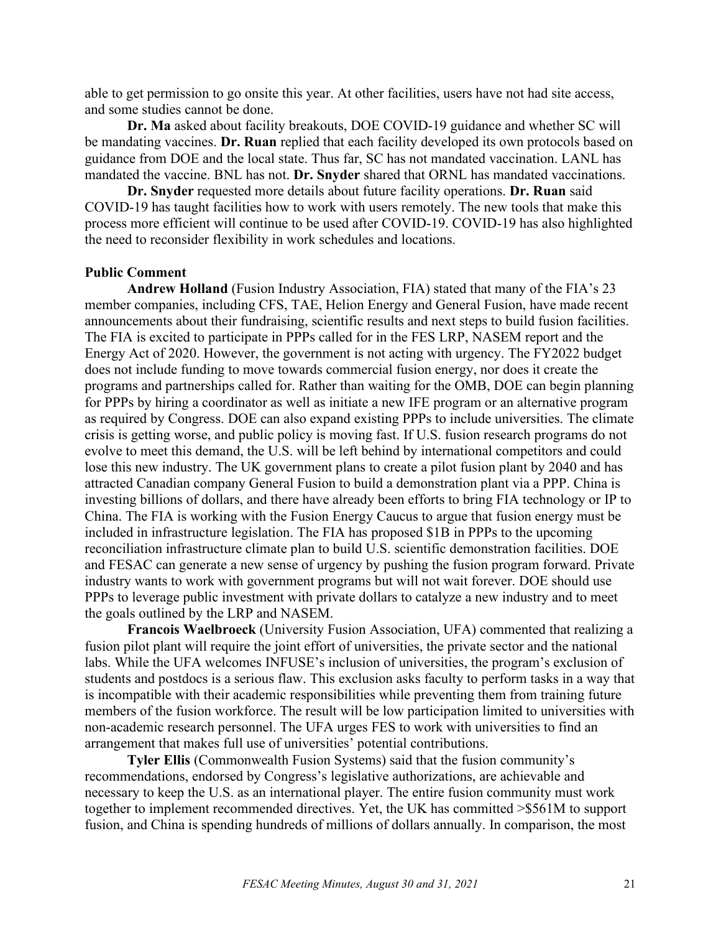able to get permission to go onsite this year. At other facilities, users have not had site access, and some studies cannot be done.

**Dr. Ma** asked about facility breakouts, DOE COVID-19 guidance and whether SC will be mandating vaccines. **Dr. Ruan** replied that each facility developed its own protocols based on guidance from DOE and the local state. Thus far, SC has not mandated vaccination. LANL has mandated the vaccine. BNL has not. **Dr. Snyder** shared that ORNL has mandated vaccinations.

**Dr. Snyder** requested more details about future facility operations. **Dr. Ruan** said COVID-19 has taught facilities how to work with users remotely. The new tools that make this process more efficient will continue to be used after COVID-19. COVID-19 has also highlighted the need to reconsider flexibility in work schedules and locations.

## **Public Comment**

**Andrew Holland** (Fusion Industry Association, FIA) stated that many of the FIA's 23 member companies, including CFS, TAE, Helion Energy and General Fusion, have made recent announcements about their fundraising, scientific results and next steps to build fusion facilities. The FIA is excited to participate in PPPs called for in the FES LRP, NASEM report and the Energy Act of 2020. However, the government is not acting with urgency. The FY2022 budget does not include funding to move towards commercial fusion energy, nor does it create the programs and partnerships called for. Rather than waiting for the OMB, DOE can begin planning for PPPs by hiring a coordinator as well as initiate a new IFE program or an alternative program as required by Congress. DOE can also expand existing PPPs to include universities. The climate crisis is getting worse, and public policy is moving fast. If U.S. fusion research programs do not evolve to meet this demand, the U.S. will be left behind by international competitors and could lose this new industry. The UK government plans to create a pilot fusion plant by 2040 and has attracted Canadian company General Fusion to build a demonstration plant via a PPP. China is investing billions of dollars, and there have already been efforts to bring FIA technology or IP to China. The FIA is working with the Fusion Energy Caucus to argue that fusion energy must be included in infrastructure legislation. The FIA has proposed \$1B in PPPs to the upcoming reconciliation infrastructure climate plan to build U.S. scientific demonstration facilities. DOE and FESAC can generate a new sense of urgency by pushing the fusion program forward. Private industry wants to work with government programs but will not wait forever. DOE should use PPPs to leverage public investment with private dollars to catalyze a new industry and to meet the goals outlined by the LRP and NASEM.

**Francois Waelbroeck** (University Fusion Association, UFA) commented that realizing a fusion pilot plant will require the joint effort of universities, the private sector and the national labs. While the UFA welcomes INFUSE's inclusion of universities, the program's exclusion of students and postdocs is a serious flaw. This exclusion asks faculty to perform tasks in a way that is incompatible with their academic responsibilities while preventing them from training future members of the fusion workforce. The result will be low participation limited to universities with non-academic research personnel. The UFA urges FES to work with universities to find an arrangement that makes full use of universities' potential contributions.

**Tyler Ellis** (Commonwealth Fusion Systems) said that the fusion community's recommendations, endorsed by Congress's legislative authorizations, are achievable and necessary to keep the U.S. as an international player. The entire fusion community must work together to implement recommended directives. Yet, the UK has committed >\$561M to support fusion, and China is spending hundreds of millions of dollars annually. In comparison, the most